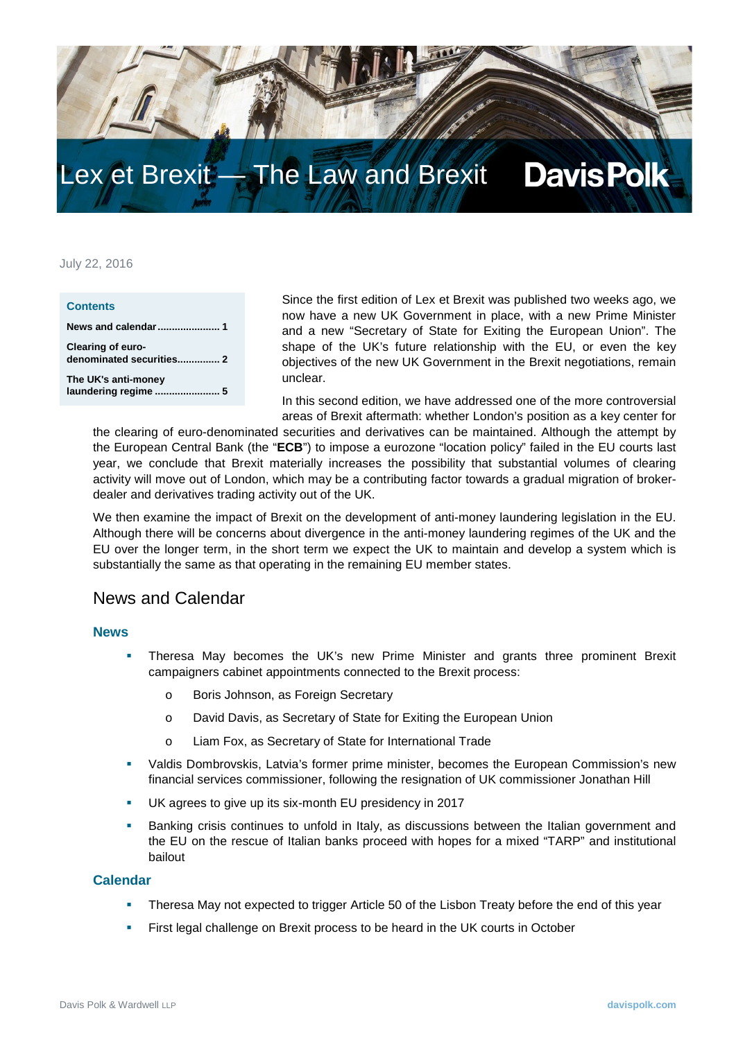

# Lex et Brexit — The Law and Brexit

#### July 22, 2016

| <b>Contents</b>                               |  |
|-----------------------------------------------|--|
|                                               |  |
| Clearing of euro-<br>denominated securities 2 |  |
| The UK's anti-money<br>laundering regime  5   |  |

Since the first edition of Lex et Brexit was published two weeks ago, we now have a new UK Government in place, with a new Prime Minister and a new "Secretary of State for Exiting the European Union". The shape of the UK's future relationship with the EU, or even the key objectives of the new UK Government in the Brexit negotiations, remain unclear.

<span id="page-0-0"></span> In this second edition, we have addressed one of the more controversial areas of Brexit aftermath: whether London's position as a key center for

the clearing of euro-denominated securities and derivatives can be maintained. Although the attempt by the European Central Bank (the "**ECB**") to impose a eurozone "location policy" failed in the EU courts last year, we conclude that Brexit materially increases the possibility that substantial volumes of clearing activity will move out of London, which may be a contributing factor towards a gradual migration of brokerdealer and derivatives trading activity out of the UK.

We then examine the impact of Brexit on the development of anti-money laundering legislation in the EU. Although there will be concerns about divergence in the anti-money laundering regimes of the UK and the EU over the longer term, in the short term we expect the UK to maintain and develop a system which is substantially the same as that operating in the remaining EU member states.

### News and Calendar

#### **News**

- Theresa May becomes the UK's new Prime Minister and grants three prominent Brexit campaigners cabinet appointments connected to the Brexit process:
	- o Boris Johnson, as Foreign Secretary
	- o David Davis, as Secretary of State for Exiting the European Union
	- o Liam Fox, as Secretary of State for International Trade
- Valdis Dombrovskis, Latvia's former prime minister, becomes the European Commission's new financial services commissioner, following the resignation of UK commissioner Jonathan Hill
- UK agrees to give up its six-month EU presidency in 2017
- Banking crisis continues to unfold in Italy, as discussions between the Italian government and the EU on the rescue of Italian banks proceed with hopes for a mixed "TARP" and institutional bailout

#### **Calendar**

- Theresa May not expected to trigger Article 50 of the Lisbon Treaty before the end of this year
- First legal challenge on Brexit process to be heard in the UK courts in October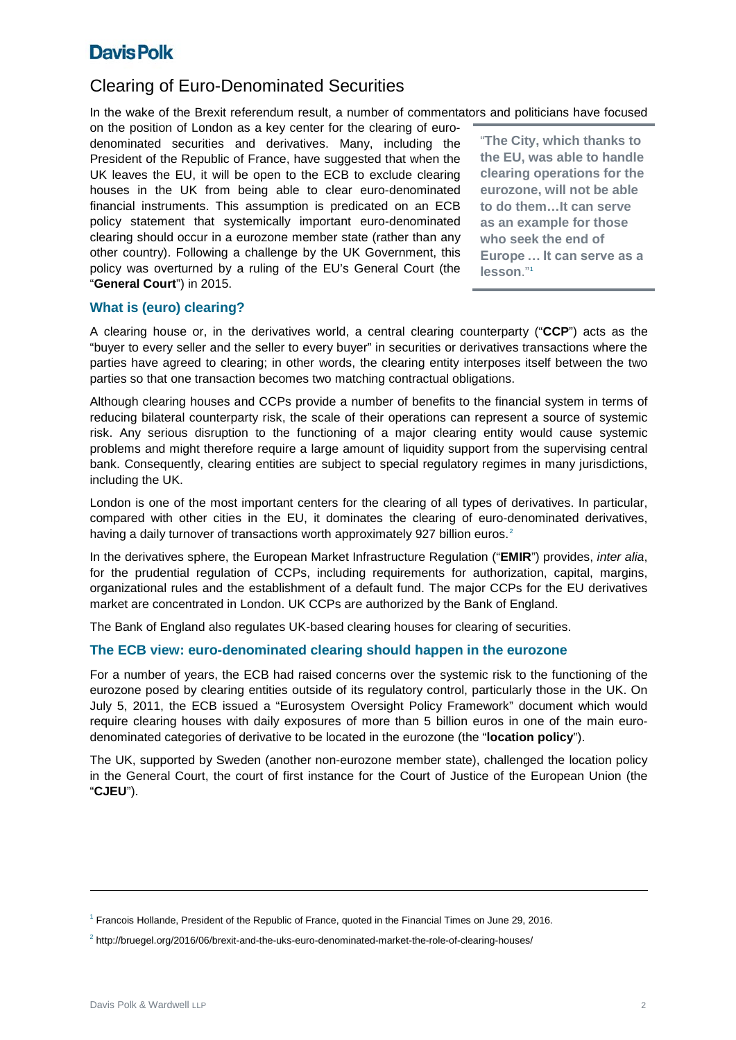### Clearing of Euro-Denominated Securities

In the wake of the Brexit referendum result, a number of commentators and politicians have focused

on the position of London as a key center for the clearing of eurodenominated securities and derivatives. Many, including the President of the Republic of France, have suggested that when the UK leaves the EU, it will be open to the ECB to exclude clearing houses in the UK from being able to clear euro-denominated financial instruments. This assumption is predicated on an ECB policy statement that systemically important euro-denominated clearing should occur in a eurozone member state (rather than any other country). Following a challenge by the UK Government, this policy was overturned by a ruling of the EU's General Court (the "**General Court**") in 2015.

"**The City, which thanks to the EU, was able to handle clearing operations for the eurozone, will not be able to do them…It can serve as an example for those who seek the end of Europe … It can serve as a lesson**."[1](#page-1-1)

### **What is (euro) clearing?**

A clearing house or, in the derivatives world, a central clearing counterparty ("**CCP**") acts as the "buyer to every seller and the seller to every buyer" in securities or derivatives transactions where the parties have agreed to clearing; in other words, the clearing entity interposes itself between the two parties so that one transaction becomes two matching contractual obligations.

Although clearing houses and CCPs provide a number of benefits to the financial system in terms of reducing bilateral counterparty risk, the scale of their operations can represent a source of systemic risk. Any serious disruption to the functioning of a major clearing entity would cause systemic problems and might therefore require a large amount of liquidity support from the supervising central bank. Consequently, clearing entities are subject to special regulatory regimes in many jurisdictions, including the UK.

London is one of the most important centers for the clearing of all types of derivatives. In particular, compared with other cities in the EU, it dominates the clearing of euro-denominated derivatives, having a daily turnover of transactions worth approximately 9[2](#page-1-0)7 billion euros.<sup>2</sup>

In the derivatives sphere, the European Market Infrastructure Regulation ("**EMIR**") provides, *inter alia*, for the prudential regulation of CCPs, including requirements for authorization, capital, margins, organizational rules and the establishment of a default fund. The major CCPs for the EU derivatives market are concentrated in London. UK CCPs are authorized by the Bank of England.

The Bank of England also regulates UK-based clearing houses for clearing of securities.

#### **The ECB view: euro-denominated clearing should happen in the eurozone**

For a number of years, the ECB had raised concerns over the systemic risk to the functioning of the eurozone posed by clearing entities outside of its regulatory control, particularly those in the UK. On July 5, 2011, the ECB issued a "Eurosystem Oversight Policy Framework" document which would require clearing houses with daily exposures of more than 5 billion euros in one of the main eurodenominated categories of derivative to be located in the eurozone (the "**location policy**").

The UK, supported by Sweden (another non-eurozone member state), challenged the location policy in the General Court, the court of first instance for the Court of Justice of the European Union (the "**CJEU**").

-

<span id="page-1-1"></span><sup>1</sup> Francois Hollande, President of the Republic of France, quoted in the Financial Times on June 29, 2016.

<span id="page-1-0"></span> $2$  http://bruegel.org/2016/06/brexit-and-the-uks-euro-denominated-market-the-role-of-clearing-houses/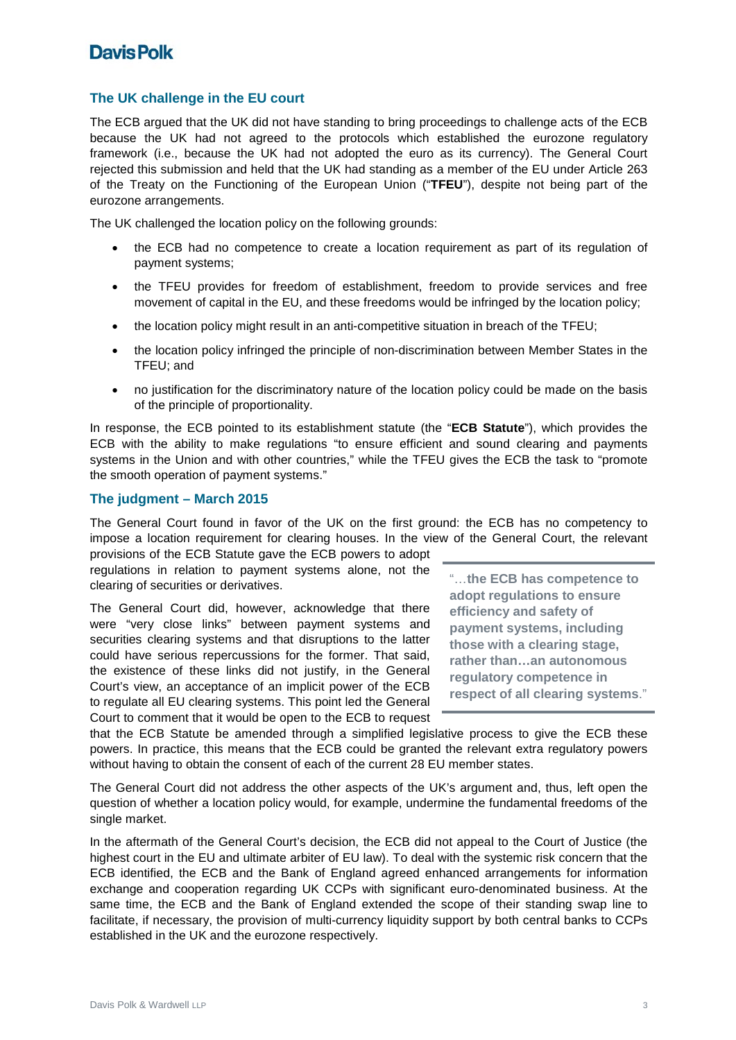### **The UK challenge in the EU court**

The ECB argued that the UK did not have standing to bring proceedings to challenge acts of the ECB because the UK had not agreed to the protocols which established the eurozone regulatory framework (i.e., because the UK had not adopted the euro as its currency). The General Court rejected this submission and held that the UK had standing as a member of the EU under Article 263 of the Treaty on the Functioning of the European Union ("**TFEU**"), despite not being part of the eurozone arrangements.

The UK challenged the location policy on the following grounds:

- the ECB had no competence to create a location requirement as part of its regulation of payment systems;
- the TFEU provides for freedom of establishment, freedom to provide services and free movement of capital in the EU, and these freedoms would be infringed by the location policy;
- the location policy might result in an anti-competitive situation in breach of the TFEU;
- the location policy infringed the principle of non-discrimination between Member States in the TFEU; and
- no justification for the discriminatory nature of the location policy could be made on the basis of the principle of proportionality.

In response, the ECB pointed to its establishment statute (the "**ECB Statute**"), which provides the ECB with the ability to make regulations "to ensure efficient and sound clearing and payments systems in the Union and with other countries," while the TFEU gives the ECB the task to "promote the smooth operation of payment systems."

#### **The judgment – March 2015**

The General Court found in favor of the UK on the first ground: the ECB has no competency to impose a location requirement for clearing houses. In the view of the General Court, the relevant

provisions of the ECB Statute gave the ECB powers to adopt regulations in relation to payment systems alone, not the clearing of securities or derivatives.

The General Court did, however, acknowledge that there were "very close links" between payment systems and securities clearing systems and that disruptions to the latter could have serious repercussions for the former. That said, the existence of these links did not justify, in the General Court's view, an acceptance of an implicit power of the ECB to regulate all EU clearing systems. This point led the General Court to comment that it would be open to the ECB to request

"…**the ECB has competence to adopt regulations to ensure efficiency and safety of payment systems, including those with a clearing stage, rather than…an autonomous regulatory competence in respect of all clearing systems**."

that the ECB Statute be amended through a simplified legislative process to give the ECB these powers. In practice, this means that the ECB could be granted the relevant extra regulatory powers without having to obtain the consent of each of the current 28 EU member states.

The General Court did not address the other aspects of the UK's argument and, thus, left open the question of whether a location policy would, for example, undermine the fundamental freedoms of the single market.

In the aftermath of the General Court's decision, the ECB did not appeal to the Court of Justice (the highest court in the EU and ultimate arbiter of EU law). To deal with the systemic risk concern that the ECB identified, the ECB and the Bank of England agreed enhanced arrangements for information exchange and cooperation regarding UK CCPs with significant euro-denominated business. At the same time, the ECB and the Bank of England extended the scope of their standing swap line to facilitate, if necessary, the provision of multi-currency liquidity support by both central banks to CCPs established in the UK and the eurozone respectively.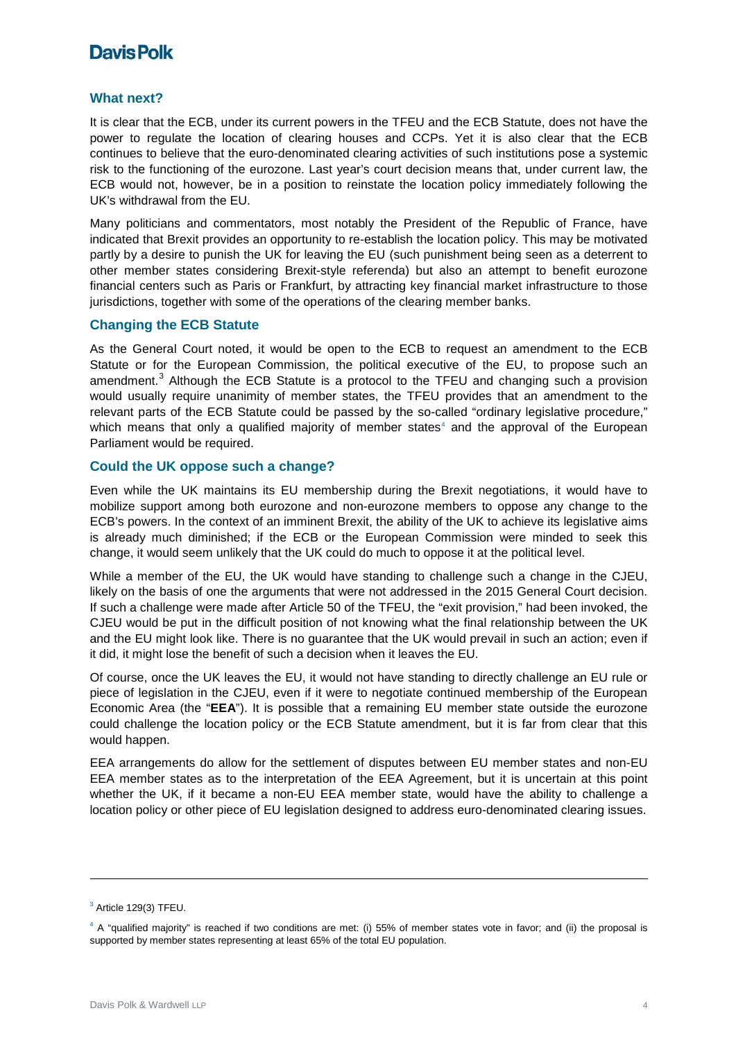#### **What next?**

It is clear that the ECB, under its current powers in the TFEU and the ECB Statute, does not have the power to regulate the location of clearing houses and CCPs. Yet it is also clear that the ECB continues to believe that the euro-denominated clearing activities of such institutions pose a systemic risk to the functioning of the eurozone. Last year's court decision means that, under current law, the ECB would not, however, be in a position to reinstate the location policy immediately following the UK's withdrawal from the EU.

Many politicians and commentators, most notably the President of the Republic of France, have indicated that Brexit provides an opportunity to re-establish the location policy. This may be motivated partly by a desire to punish the UK for leaving the EU (such punishment being seen as a deterrent to other member states considering Brexit-style referenda) but also an attempt to benefit eurozone financial centers such as Paris or Frankfurt, by attracting key financial market infrastructure to those jurisdictions, together with some of the operations of the clearing member banks.

#### **Changing the ECB Statute**

As the General Court noted, it would be open to the ECB to request an amendment to the ECB Statute or for the European Commission, the political executive of the EU, to propose such an amendment.<sup>[3](#page-3-0)</sup> Although the ECB Statute is a protocol to the TFEU and changing such a provision would usually require unanimity of member states, the TFEU provides that an amendment to the relevant parts of the ECB Statute could be passed by the so-called "ordinary legislative procedure," which means that only a qualified majority of member states $4$  and the approval of the European Parliament would be required.

#### **Could the UK oppose such a change?**

Even while the UK maintains its EU membership during the Brexit negotiations, it would have to mobilize support among both eurozone and non-eurozone members to oppose any change to the ECB's powers. In the context of an imminent Brexit, the ability of the UK to achieve its legislative aims is already much diminished; if the ECB or the European Commission were minded to seek this change, it would seem unlikely that the UK could do much to oppose it at the political level.

While a member of the EU, the UK would have standing to challenge such a change in the CJEU, likely on the basis of one the arguments that were not addressed in the 2015 General Court decision. If such a challenge were made after Article 50 of the TFEU, the "exit provision," had been invoked, the CJEU would be put in the difficult position of not knowing what the final relationship between the UK and the EU might look like. There is no guarantee that the UK would prevail in such an action; even if it did, it might lose the benefit of such a decision when it leaves the EU.

Of course, once the UK leaves the EU, it would not have standing to directly challenge an EU rule or piece of legislation in the CJEU, even if it were to negotiate continued membership of the European Economic Area (the "**EEA**"). It is possible that a remaining EU member state outside the eurozone could challenge the location policy or the ECB Statute amendment, but it is far from clear that this would happen.

EEA arrangements do allow for the settlement of disputes between EU member states and non-EU EEA member states as to the interpretation of the EEA Agreement, but it is uncertain at this point whether the UK, if it became a non-EU EEA member state, would have the ability to challenge a location policy or other piece of EU legislation designed to address euro-denominated clearing issues.

-

<span id="page-3-0"></span> $3$  Article 129(3) TFEU.

<span id="page-3-1"></span> $4$  A "qualified majority" is reached if two conditions are met: (i) 55% of member states vote in favor; and (ii) the proposal is supported by member states representing at least 65% of the total EU population.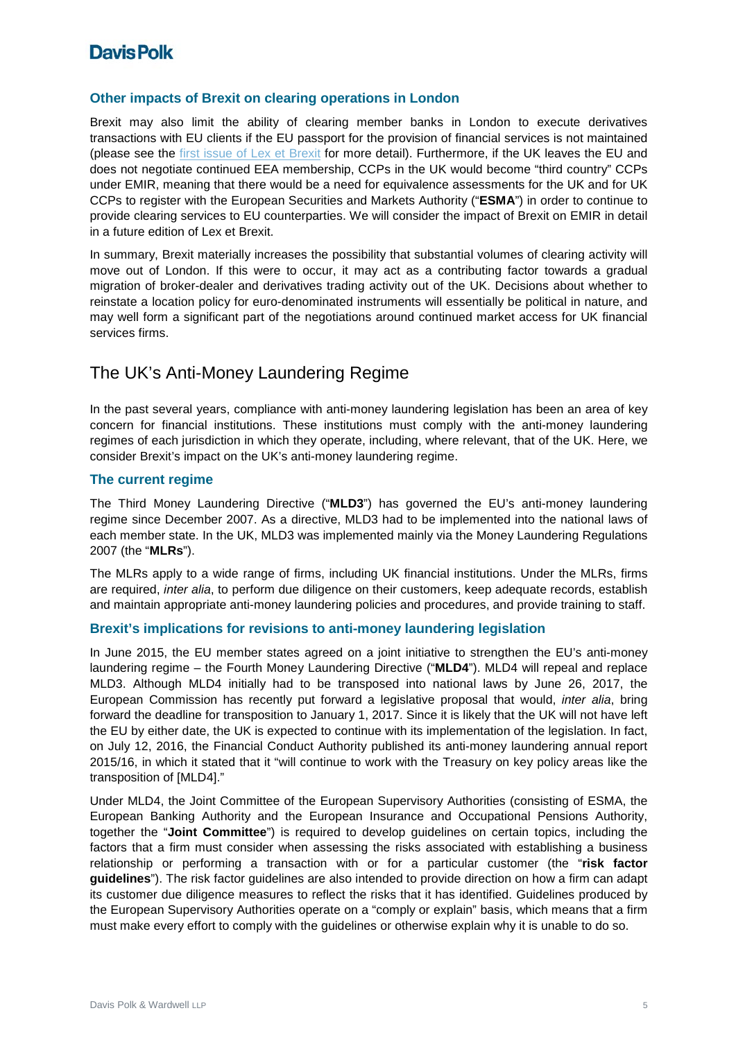#### **Other impacts of Brexit on clearing operations in London**

Brexit may also limit the ability of clearing member banks in London to execute derivatives transactions with EU clients if the EU passport for the provision of financial services is not maintained (please see the [first issue of Lex et Brexit](https://www.davispolk.com/sites/default/files/2016-07-09_LexetBrexit_The_Law_and_Brexit.pdf) for more detail). Furthermore, if the UK leaves the EU and does not negotiate continued EEA membership, CCPs in the UK would become "third country" CCPs under EMIR, meaning that there would be a need for equivalence assessments for the UK and for UK CCPs to register with the European Securities and Markets Authority ("**ESMA**") in order to continue to provide clearing services to EU counterparties. We will consider the impact of Brexit on EMIR in detail in a future edition of Lex et Brexit.

In summary, Brexit materially increases the possibility that substantial volumes of clearing activity will move out of London. If this were to occur, it may act as a contributing factor towards a gradual migration of broker-dealer and derivatives trading activity out of the UK. Decisions about whether to reinstate a location policy for euro-denominated instruments will essentially be political in nature, and may well form a significant part of the negotiations around continued market access for UK financial services firms.

### The UK's Anti-Money Laundering Regime

In the past several years, compliance with anti-money laundering legislation has been an area of key concern for financial institutions. These institutions must comply with the anti-money laundering regimes of each jurisdiction in which they operate, including, where relevant, that of the UK. Here, we consider Brexit's impact on the UK's anti-money laundering regime.

### **The current regime**

The Third Money Laundering Directive ("**MLD3**") has governed the EU's anti-money laundering regime since December 2007. As a directive, MLD3 had to be implemented into the national laws of each member state. In the UK, MLD3 was implemented mainly via the Money Laundering Regulations 2007 (the "**MLRs**").

The MLRs apply to a wide range of firms, including UK financial institutions. Under the MLRs, firms are required, *inter alia*, to perform due diligence on their customers, keep adequate records, establish and maintain appropriate anti-money laundering policies and procedures, and provide training to staff.

#### **Brexit's implications for revisions to anti-money laundering legislation**

In June 2015, the EU member states agreed on a joint initiative to strengthen the EU's anti-money laundering regime – the Fourth Money Laundering Directive ("**MLD4**"). MLD4 will repeal and replace MLD3. Although MLD4 initially had to be transposed into national laws by June 26, 2017, the European Commission has recently put forward a legislative proposal that would, *inter alia*, bring forward the deadline for transposition to January 1, 2017. Since it is likely that the UK will not have left the EU by either date, the UK is expected to continue with its implementation of the legislation. In fact, on July 12, 2016, the Financial Conduct Authority published its anti-money laundering annual report 2015/16, in which it stated that it "will continue to work with the Treasury on key policy areas like the transposition of [MLD4]."

Under MLD4, the Joint Committee of the European Supervisory Authorities (consisting of ESMA, the European Banking Authority and the European Insurance and Occupational Pensions Authority, together the "**Joint Committee**") is required to develop guidelines on certain topics, including the factors that a firm must consider when assessing the risks associated with establishing a business relationship or performing a transaction with or for a particular customer (the "**risk factor guidelines**"). The risk factor guidelines are also intended to provide direction on how a firm can adapt its customer due diligence measures to reflect the risks that it has identified. Guidelines produced by the European Supervisory Authorities operate on a "comply or explain" basis, which means that a firm must make every effort to comply with the guidelines or otherwise explain why it is unable to do so.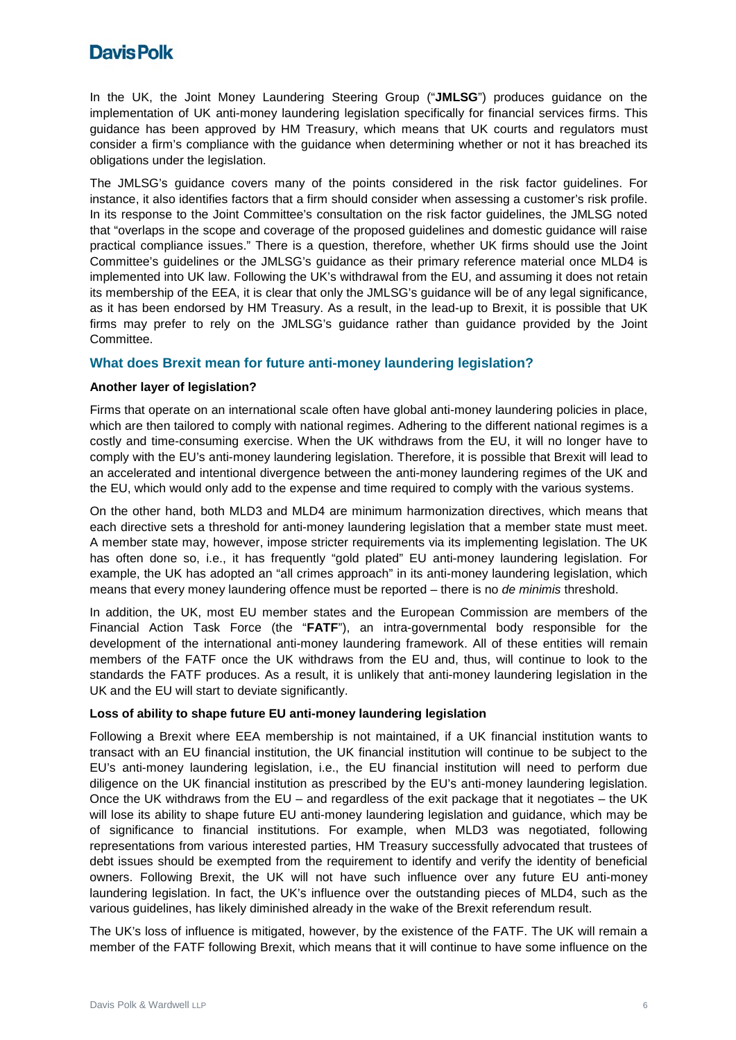In the UK, the Joint Money Laundering Steering Group ("**JMLSG**") produces guidance on the implementation of UK anti-money laundering legislation specifically for financial services firms. This guidance has been approved by HM Treasury, which means that UK courts and regulators must consider a firm's compliance with the guidance when determining whether or not it has breached its obligations under the legislation.

The JMLSG's guidance covers many of the points considered in the risk factor guidelines. For instance, it also identifies factors that a firm should consider when assessing a customer's risk profile. In its response to the Joint Committee's consultation on the risk factor guidelines, the JMLSG noted that "overlaps in the scope and coverage of the proposed guidelines and domestic guidance will raise practical compliance issues." There is a question, therefore, whether UK firms should use the Joint Committee's guidelines or the JMLSG's guidance as their primary reference material once MLD4 is implemented into UK law. Following the UK's withdrawal from the EU, and assuming it does not retain its membership of the EEA, it is clear that only the JMLSG's guidance will be of any legal significance, as it has been endorsed by HM Treasury. As a result, in the lead-up to Brexit, it is possible that UK firms may prefer to rely on the JMLSG's guidance rather than guidance provided by the Joint Committee.

#### **What does Brexit mean for future anti-money laundering legislation?**

#### **Another layer of legislation?**

Firms that operate on an international scale often have global anti-money laundering policies in place, which are then tailored to comply with national regimes. Adhering to the different national regimes is a costly and time-consuming exercise. When the UK withdraws from the EU, it will no longer have to comply with the EU's anti-money laundering legislation. Therefore, it is possible that Brexit will lead to an accelerated and intentional divergence between the anti-money laundering regimes of the UK and the EU, which would only add to the expense and time required to comply with the various systems.

On the other hand, both MLD3 and MLD4 are minimum harmonization directives, which means that each directive sets a threshold for anti-money laundering legislation that a member state must meet. A member state may, however, impose stricter requirements via its implementing legislation. The UK has often done so, i.e., it has frequently "gold plated" EU anti-money laundering legislation. For example, the UK has adopted an "all crimes approach" in its anti-money laundering legislation, which means that every money laundering offence must be reported – there is no *de minimis* threshold.

In addition, the UK, most EU member states and the European Commission are members of the Financial Action Task Force (the "**FATF**"), an intra-governmental body responsible for the development of the international anti-money laundering framework. All of these entities will remain members of the FATF once the UK withdraws from the EU and, thus, will continue to look to the standards the FATF produces. As a result, it is unlikely that anti-money laundering legislation in the UK and the EU will start to deviate significantly.

#### **Loss of ability to shape future EU anti-money laundering legislation**

Following a Brexit where EEA membership is not maintained, if a UK financial institution wants to transact with an EU financial institution, the UK financial institution will continue to be subject to the EU's anti-money laundering legislation, i.e., the EU financial institution will need to perform due diligence on the UK financial institution as prescribed by the EU's anti-money laundering legislation. Once the UK withdraws from the  $EU$  – and regardless of the exit package that it negotiates – the UK will lose its ability to shape future EU anti-money laundering legislation and guidance, which may be of significance to financial institutions. For example, when MLD3 was negotiated, following representations from various interested parties, HM Treasury successfully advocated that trustees of debt issues should be exempted from the requirement to identify and verify the identity of beneficial owners. Following Brexit, the UK will not have such influence over any future EU anti-money laundering legislation. In fact, the UK's influence over the outstanding pieces of MLD4, such as the various guidelines, has likely diminished already in the wake of the Brexit referendum result.

The UK's loss of influence is mitigated, however, by the existence of the FATF. The UK will remain a member of the FATF following Brexit, which means that it will continue to have some influence on the